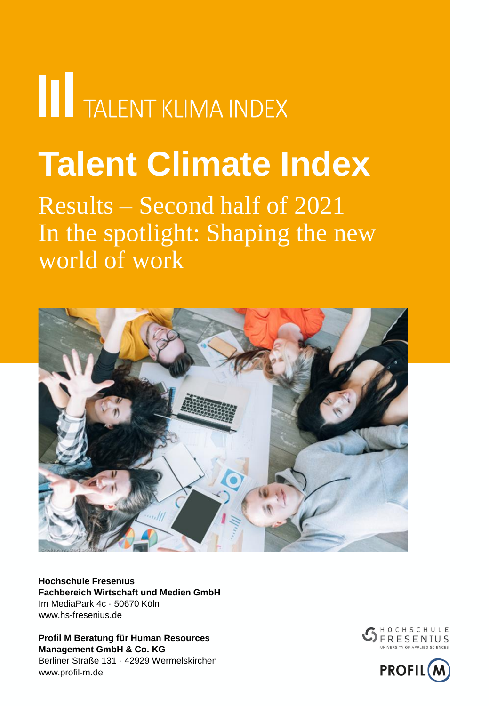# **THE TALENT KLIMA INDEX**

## **Talent Climate Index**

Results – Second half of 2021 In the spotlight: Shaping the new world of work



**Hochschule Fresenius Fachbereich Wirtschaft und Medien GmbH** Im MediaPark 4c · 50670 Köln www.hs-fresenius.de

**Profil M Beratung für Human Resources Management GmbH & Co. KG** Berliner Straße 131 · 42929 Wermelskirchen www.profil-m.de



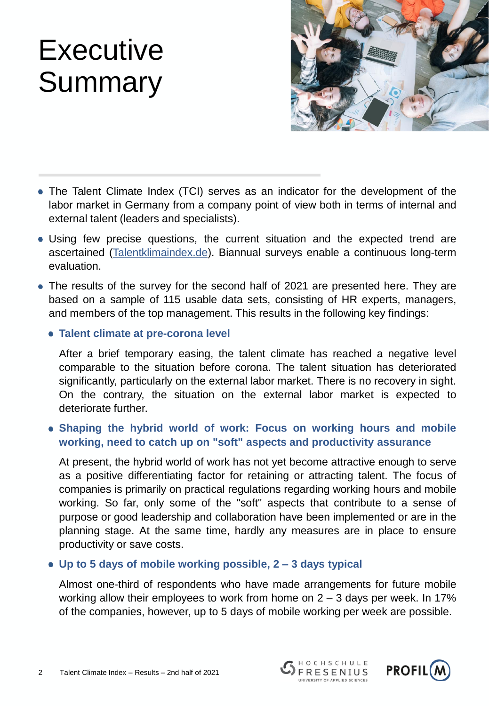## **Executive Summary**



- The Talent Climate Index (TCI) serves as an indicator for the development of the labor market in Germany from a company point of view both in terms of internal and external talent (leaders and specialists).
- Using few precise questions, the current situation and the expected trend are ascertained ([Talentklimaindex.de\)](http://talentklimaindex.de/). Biannual surveys enable a continuous long-term evaluation.
- The results of the survey for the second half of 2021 are presented here. They are based on a sample of 115 usable data sets, consisting of HR experts, managers, and members of the top management. This results in the following key findings:
	- **Talent climate at pre-corona level**

After a brief temporary easing, the talent climate has reached a negative level comparable to the situation before corona. The talent situation has deteriorated significantly, particularly on the external labor market. There is no recovery in sight. On the contrary, the situation on the external labor market is expected to deteriorate further.

#### **Shaping the hybrid world of work: Focus on working hours and mobile working, need to catch up on "soft" aspects and productivity assurance**

At present, the hybrid world of work has not yet become attractive enough to serve as a positive differentiating factor for retaining or attracting talent. The focus of companies is primarily on practical regulations regarding working hours and mobile working. So far, only some of the "soft" aspects that contribute to a sense of purpose or good leadership and collaboration have been implemented or are in the planning stage. At the same time, hardly any measures are in place to ensure productivity or save costs.

#### **Up to 5 days of mobile working possible, 2 – 3 days typical**

Almost one-third of respondents who have made arrangements for future mobile working allow their employees to work from home on 2 – 3 days per week. In 17% of the companies, however, up to 5 days of mobile working per week are possible.

HOCHSCHULE

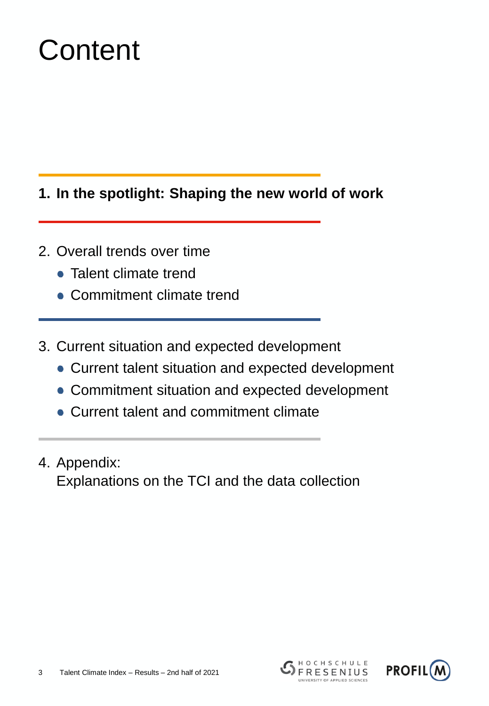## **Content**

### **1. In the spotlight: Shaping the new world of work**

- 2. Overall trends over time
	- Talent climate trend
	- Commitment climate trend
- 3. Current situation and expected development
	- Current talent situation and expected development
	- Commitment situation and expected development
	- Current talent and commitment climate
- 4. Appendix: Explanations on the TCI and the data collection



HOCHSCHULE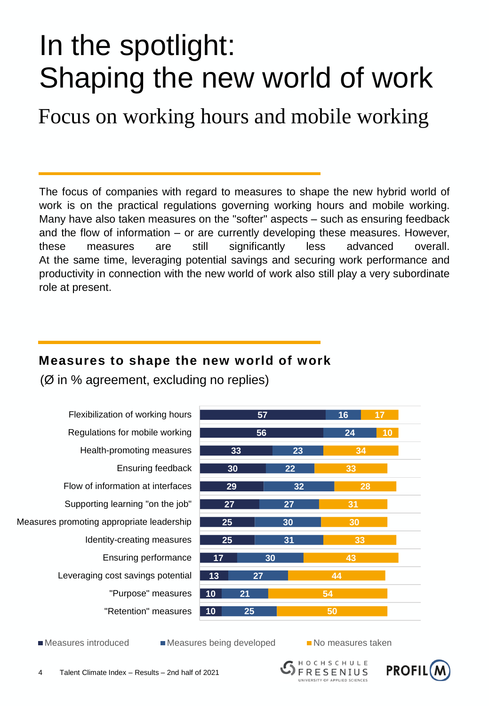### In the spotlight: Shaping the new world of work

Focus on working hours and mobile working

The focus of companies with regard to measures to shape the new hybrid world of work is on the practical regulations governing working hours and mobile working. Many have also taken measures on the "softer" aspects – such as ensuring feedback and the flow of information – or are currently developing these measures. However, these measures are still significantly less advanced overall. At the same time, leveraging potential savings and securing work performance and productivity in connection with the new world of work also still play a very subordinate role at present.

#### **Measures to shape the new world of work**

(Ø in % agreement, excluding no replies)

"Retention" measures "Purpose" measures Leveraging cost savings potential Ensuring performance Identity-creating measures Measures promoting appropriate leadership Supporting learning "on the job" Flow of information at interfaces Ensuring feedback Health-promoting measures Regulations for mobile working Flexibilization of working hours



Measures introduced Measures being developed No measures taken



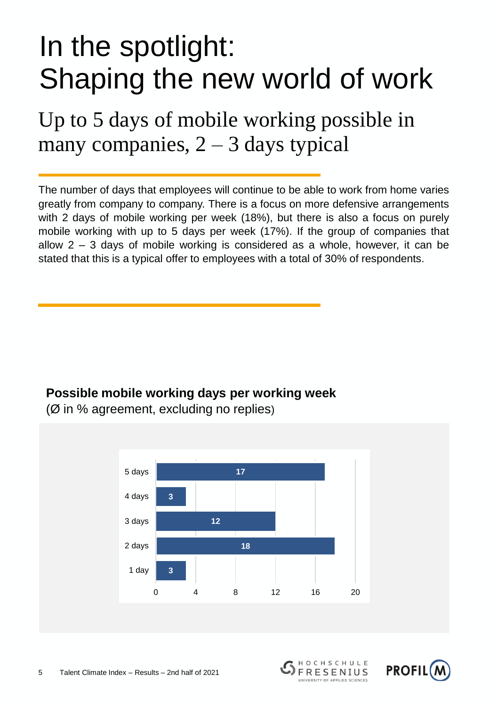### In the spotlight: Shaping the new world of work

Up to 5 days of mobile working possible in many companies,  $2 - 3$  days typical

The number of days that employees will continue to be able to work from home varies greatly from company to company. There is a focus on more defensive arrangements with 2 days of mobile working per week (18%), but there is also a focus on purely mobile working with up to 5 days per week (17%). If the group of companies that allow 2 – 3 days of mobile working is considered as a whole, however, it can be stated that this is a typical offer to employees with a total of 30% of respondents.

### **Possible mobile working days per working week**



(Ø in % agreement, excluding no replies)



HOCHSCHULE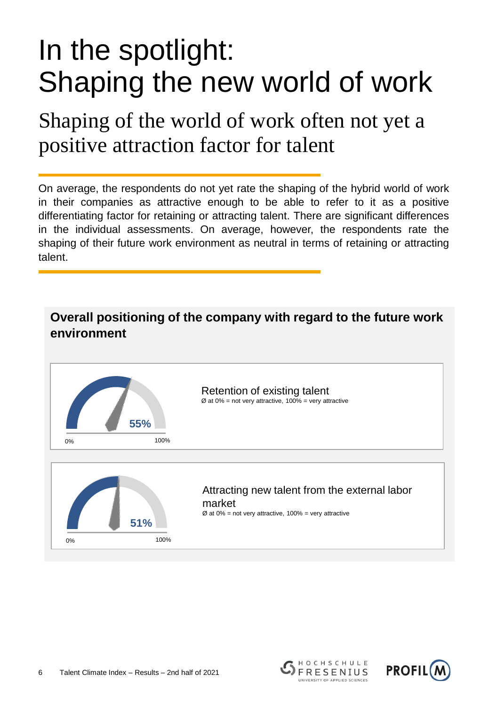### In the spotlight: Shaping the new world of work

Shaping of the world of work often not yet a positive attraction factor for talent

On average, the respondents do not yet rate the shaping of the hybrid world of work in their companies as attractive enough to be able to refer to it as a positive differentiating factor for retaining or attracting talent. There are significant differences in the individual assessments. On average, however, the respondents rate the shaping of their future work environment as neutral in terms of retaining or attracting talent.





HOCHSCHULE

**FRESENIUS** NIVERSITY OF APPLIED SCIENCES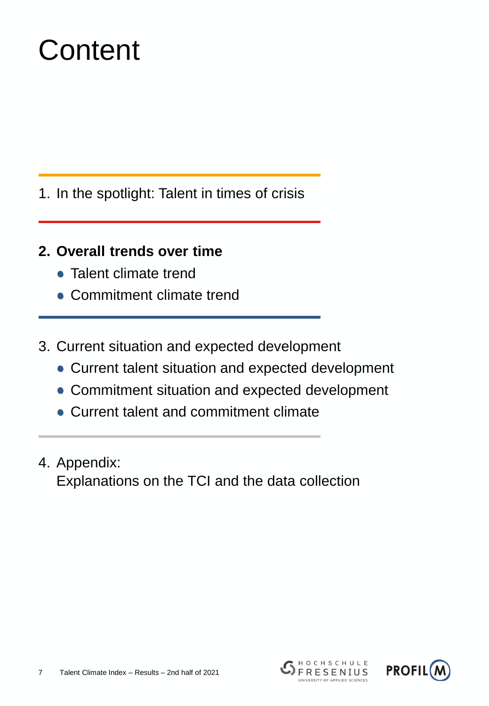## **Content**

- 1. In the spotlight: Talent in times of crisis
- **2. Overall trends over time**
	- Talent climate trend
	- Commitment climate trend
- 3. Current situation and expected development
	- Current talent situation and expected development
	- Commitment situation and expected development
	- Current talent and commitment climate
- 4. Appendix: Explanations on the TCI and the data collection



HOCHSCHULE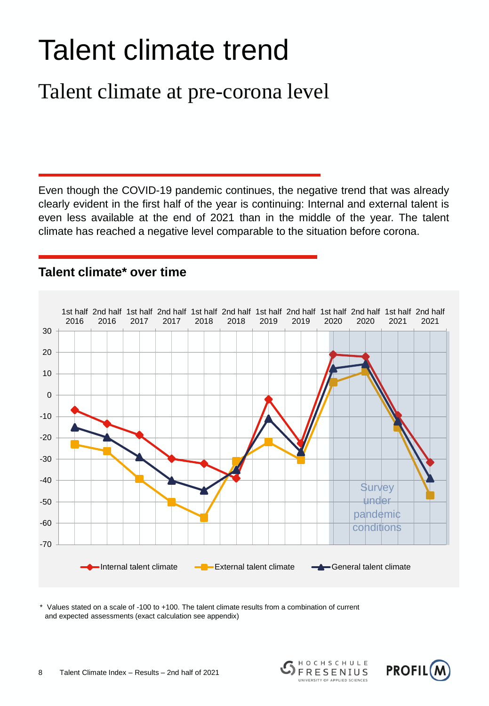## Talent climate trend

### Talent climate at pre-corona level

Even though the COVID-19 pandemic continues, the negative trend that was already clearly evident in the first half of the year is continuing: Internal and external talent is even less available at the end of 2021 than in the middle of the year. The talent climate has reached a negative level comparable to the situation before corona.



#### **Talent climate\* over time**

\* Values stated on a scale of -100 to +100. The talent climate results from a combination of current and expected assessments (exact calculation see appendix)



HOCHSCHULE

**FRESENIUS** UNIVERSITY OF APPLIED SCIENCES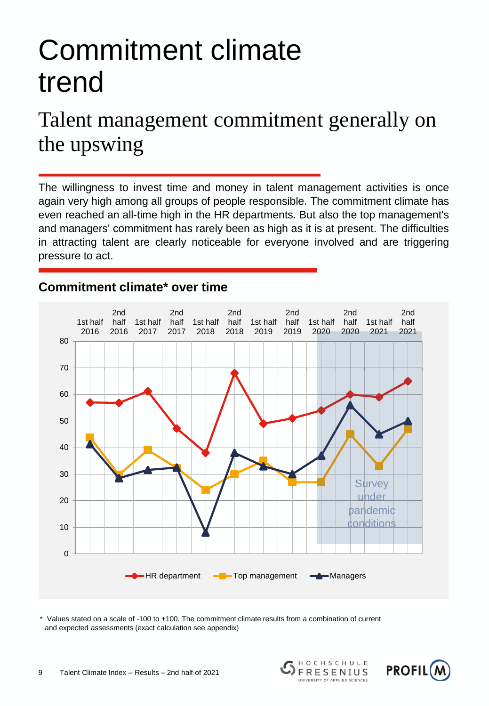## Commitment climate trend

### Talent management commitment generally on the upswing

The willingness to invest time and money in talent management activities is once again very high among all groups of people responsible. The commitment climate has even reached an all-time high in the HR departments. But also the top management's and managers' commitment has rarely been as high as it is at present. The difficulties in attracting talent are clearly noticeable for everyone involved and are triggering pressure to act.

#### **Commitment climate\* over time**



Values stated on a scale of -100 to +100. The commitment climate results from a combination of current and expected assessments (exact calculation see appendix)





HOCHSCHULE

**FRESENIUS** UNIVERSITY OF APPLIED SCIENCES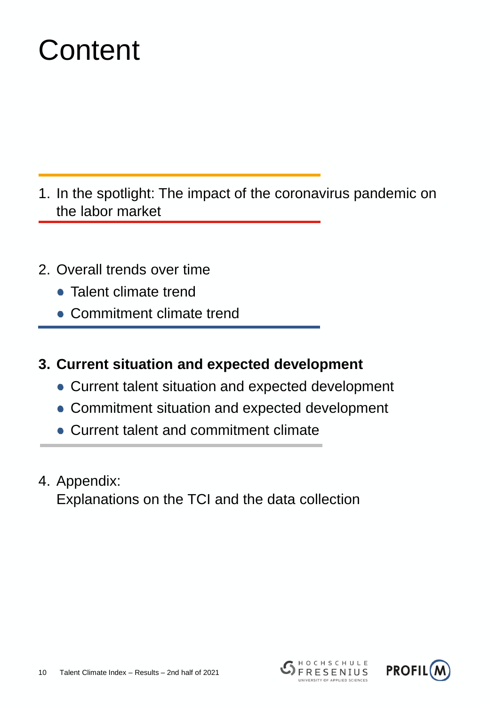## **Content**

- 1. In the spotlight: The impact of the coronavirus pandemic on the labor market
- 2. Overall trends over time
	- Talent climate trend
	- Commitment climate trend
- **3. Current situation and expected development**
	- Current talent situation and expected development
	- Commitment situation and expected development
	- Current talent and commitment climate
- 4. Appendix:

Explanations on the TCI and the data collection

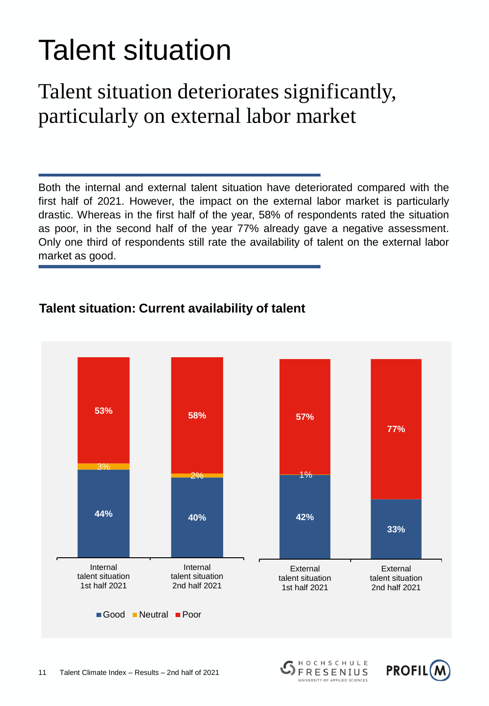## Talent situation

### Talent situation deteriorates significantly, particularly on external labor market

Both the internal and external talent situation have deteriorated compared with the first half of 2021. However, the impact on the external labor market is particularly drastic. Whereas in the first half of the year, 58% of respondents rated the situation as poor, in the second half of the year 77% already gave a negative assessment. Only one third of respondents still rate the availability of talent on the external labor market as good.

### **Talent situation: Current availability of talent**



HOCHSCHULE

**FRESENIUS** UNIVERSITY OF APPLIED SCIENCES

**PROFIL(N**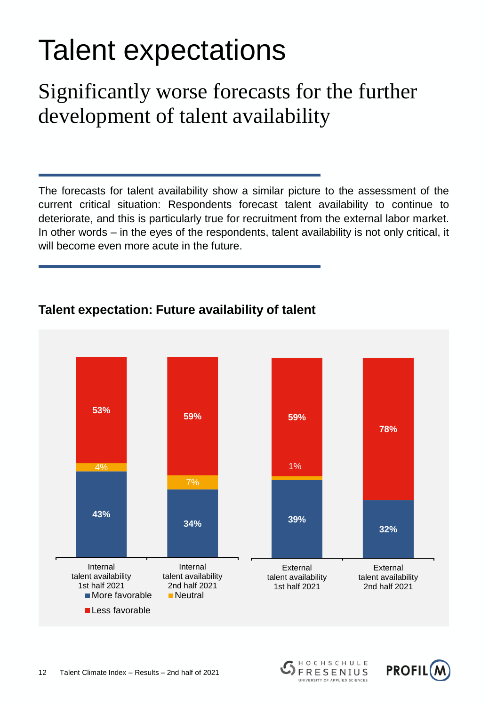## Talent expectations

### Significantly worse forecasts for the further development of talent availability

The forecasts for talent availability show a similar picture to the assessment of the current critical situation: Respondents forecast talent availability to continue to deteriorate, and this is particularly true for recruitment from the external labor market. In other words – in the eyes of the respondents, talent availability is not only critical, it will become even more acute in the future.



HOCHSCHULE

**FRESENIUS** UNIVERSITY OF APPLIED SCIENCES

**PROFIL(N** 

### **Talent expectation: Future availability of talent**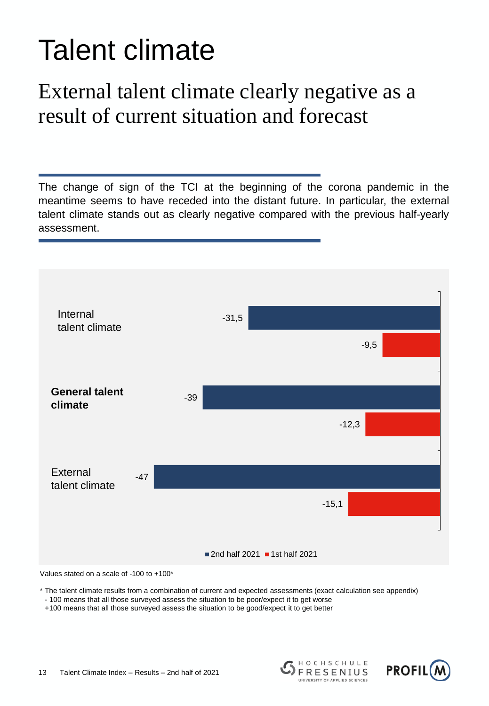## Talent climate

### External talent climate clearly negative as a result of current situation and forecast

The change of sign of the TCI at the beginning of the corona pandemic in the meantime seems to have receded into the distant future. In particular, the external talent climate stands out as clearly negative compared with the previous half-yearly assessment.



Values stated on a scale of -100 to +100\*

\* The talent climate results from a combination of current and expected assessments (exact calculation see appendix)

- 100 means that all those surveyed assess the situation to be poor/expect it to get worse

+100 means that all those surveyed assess the situation to be good/expect it to get better



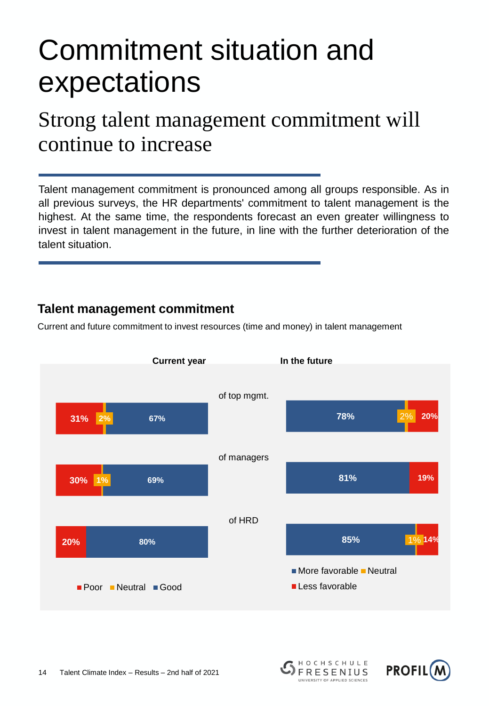### Commitment situation and expectations

### Strong talent management commitment will continue to increase

Talent management commitment is pronounced among all groups responsible. As in all previous surveys, the HR departments' commitment to talent management is the highest. At the same time, the respondents forecast an even greater willingness to invest in talent management in the future, in line with the further deterioration of the talent situation.

#### **Talent management commitment**

Current and future commitment to invest resources (time and money) in talent management



HOCHSCHULE

**FRESENIUS** 

**PROFIL(**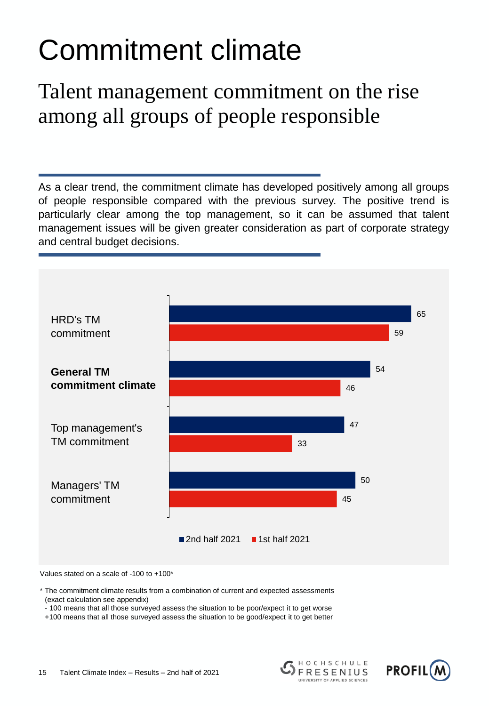## Commitment climate

### Talent management commitment on the rise among all groups of people responsible

As a clear trend, the commitment climate has developed positively among all groups of people responsible compared with the previous survey. The positive trend is particularly clear among the top management, so it can be assumed that talent management issues will be given greater consideration as part of corporate strategy and central budget decisions.



Values stated on a scale of -100 to +100\*

\* The commitment climate results from a combination of current and expected assessments (exact calculation see appendix)

- 100 means that all those surveyed assess the situation to be poor/expect it to get worse

+100 means that all those surveyed assess the situation to be good/expect it to get better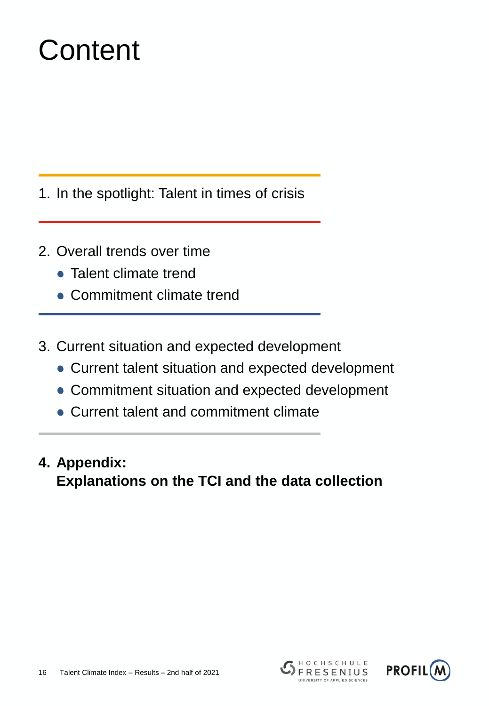## **Content**

- 1. In the spotlight: Talent in times of crisis
- 2. Overall trends over time
	- Talent climate trend
	- Commitment climate trend
- 3. Current situation and expected development
	- Current talent situation and expected development
	- Commitment situation and expected development
	- Current talent and commitment climate
- **4. Appendix: Explanations on the TCI and the data collection**



HOCHSCHULE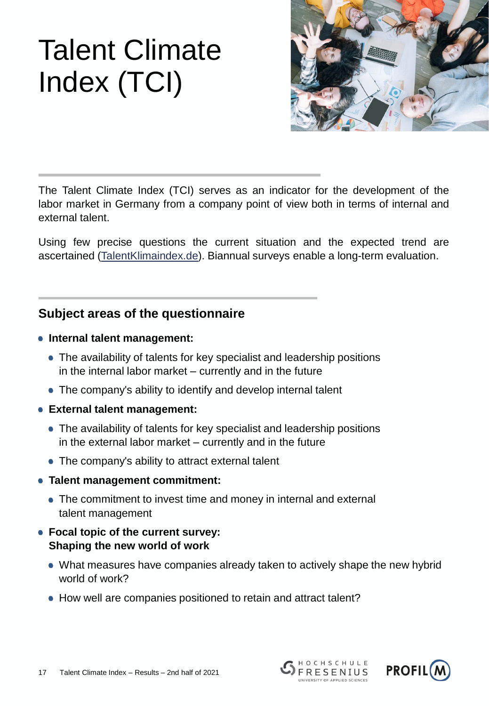

The Talent Climate Index (TCI) serves as an indicator for the development of the labor market in Germany from a company point of view both in terms of internal and external talent.

Using few precise questions the current situation and the expected trend are ascertained ([TalentKlimaindex.de\)](http://talentklimaindex.de/). Biannual surveys enable a long-term evaluation.

#### **Subject areas of the questionnaire**

- **Internal talent management:** 
	- The availability of talents for key specialist and leadership positions in the internal labor market – currently and in the future
	- The company's ability to identify and develop internal talent
- **External talent management:** 
	- The availability of talents for key specialist and leadership positions in the external labor market – currently and in the future
	- The company's ability to attract external talent
- **Talent management commitment:**
	- The commitment to invest time and money in internal and external talent management
- **Focal topic of the current survey: Shaping the new world of work**
	- What measures have companies already taken to actively shape the new hybrid world of work?
	- How well are companies positioned to retain and attract talent?

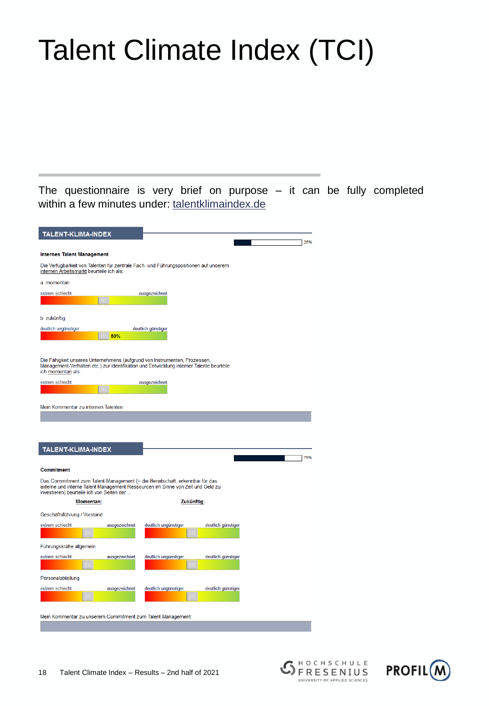The questionnaire is very brief on purpose – it can be fully completed within a few minutes under: [talentklimaindex.de](http://talentklimaindex.de/)

| <b>TALENT-KLIMA-INDEX</b>                                                                                                                                                                                            |               |                      |                    |     |
|----------------------------------------------------------------------------------------------------------------------------------------------------------------------------------------------------------------------|---------------|----------------------|--------------------|-----|
|                                                                                                                                                                                                                      |               |                      |                    | 25% |
| <b>Internes Talent Management</b>                                                                                                                                                                                    |               |                      |                    |     |
| Die Verfügbarkeit von Talenten für zentrale Fach- und Führungspositionen auf unserem<br>internen Arbeitsmarkt beurteile ich als:                                                                                     |               |                      |                    |     |
| a. momentan                                                                                                                                                                                                          |               |                      |                    |     |
| extrem schlecht                                                                                                                                                                                                      | Ш             | ausgezeichnet        |                    |     |
| b. zukünftig                                                                                                                                                                                                         |               |                      |                    |     |
| deutlich ungünstiger                                                                                                                                                                                                 |               | deutlich günstiger   |                    |     |
|                                                                                                                                                                                                                      | 50%           |                      |                    |     |
| Die Fähigkeit unseres Unternehmens (aufgrund von Instrumenten, Prozessen,<br>Management-Verhalten etc.) zur Identifikation und Entwicklung interner Talente beurteile<br>ich <u>momentan</u> als:<br>extrem schlecht |               | ausgezeichnet        |                    |     |
|                                                                                                                                                                                                                      |               |                      |                    |     |
|                                                                                                                                                                                                                      |               |                      |                    |     |
| Mein Kommentar zu internen Talenten:                                                                                                                                                                                 |               |                      |                    |     |
|                                                                                                                                                                                                                      |               |                      |                    |     |
|                                                                                                                                                                                                                      |               |                      |                    |     |
| TALENT-KLIMA-INDEX                                                                                                                                                                                                   |               |                      |                    |     |
|                                                                                                                                                                                                                      |               |                      |                    | 75% |
| <b>Commitment</b>                                                                                                                                                                                                    |               |                      |                    |     |
| Das Commitment zum Talent-Management (= die Bereitschaft, erkennbar für das<br>externe und interne Talent Management Ressourcen im Sinne von Zeit und Geld zu<br>investieren) beurteile ich von Seiten der           |               |                      |                    |     |
| <b>Momentan:</b>                                                                                                                                                                                                     |               | Zukünftig:           |                    |     |
| Geschäftsführung / Vorstand                                                                                                                                                                                          |               |                      |                    |     |
| extrem schlecht                                                                                                                                                                                                      | ausgezeichnet | deutlich ungünstiger | deutlich günstiger |     |
| T                                                                                                                                                                                                                    |               |                      |                    |     |
| Führungskräfte allgemein                                                                                                                                                                                             |               |                      |                    |     |
| extrem schlecht                                                                                                                                                                                                      | ausgezeichnet | deutlich ungünstiger | deutlich günstiger |     |
|                                                                                                                                                                                                                      |               |                      |                    |     |
| Personalabteilung                                                                                                                                                                                                    |               |                      |                    |     |
| extrem schlecht                                                                                                                                                                                                      | ausgezeichnet | deutlich ungünstiger | deutlich günstiger |     |
|                                                                                                                                                                                                                      |               |                      |                    |     |
| Mein Kommentar zu unserem Commitment zum Talent-Management:                                                                                                                                                          |               |                      |                    |     |
|                                                                                                                                                                                                                      |               |                      |                    |     |
|                                                                                                                                                                                                                      |               |                      |                    |     |

HOCHSCHULE

FRESENIUS UNIVERSITY OF APPLIED SCIENCES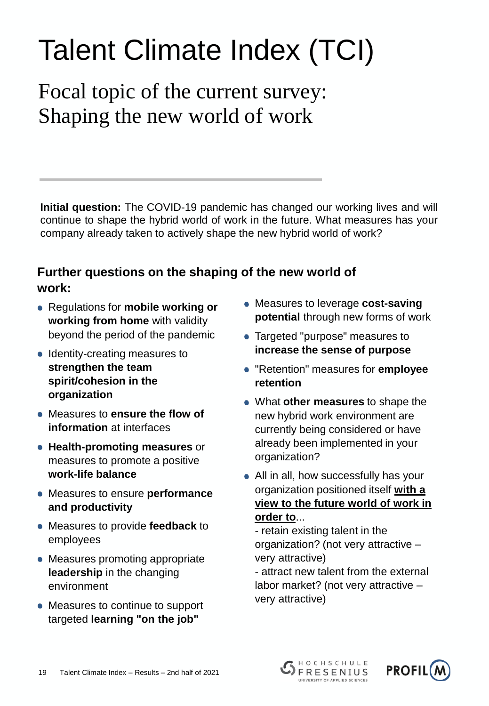Focal topic of the current survey: Shaping the new world of work

**Initial question:** The COVID-19 pandemic has changed our working lives and will continue to shape the hybrid world of work in the future. What measures has your company already taken to actively shape the new hybrid world of work?

### **Further questions on the shaping of the new world of work:**

- Regulations for **mobile working or working from home** with validity beyond the period of the pandemic
- Identity-creating measures to **strengthen the team spirit/cohesion in the organization**
- Measures to **ensure the flow of information** at interfaces
- **Health-promoting measures** or measures to promote a positive **work-life balance**
- Measures to ensure **performance and productivity**
- Measures to provide **feedback** to employees
- Measures promoting appropriate **leadership** in the changing environment
- Measures to continue to support targeted **learning "on the job"**
- Measures to leverage **cost-saving potential** through new forms of work
- **Targeted "purpose" measures to increase the sense of purpose**
- "Retention" measures for **employee retention**
- What **other measures** to shape the new hybrid work environment are currently being considered or have already been implemented in your organization?
- All in all, how successfully has your organization positioned itself **with a view to the future world of work in order to**...

- retain existing talent in the organization? (not very attractive – very attractive)

- attract new talent from the external labor market? (not very attractive – very attractive)



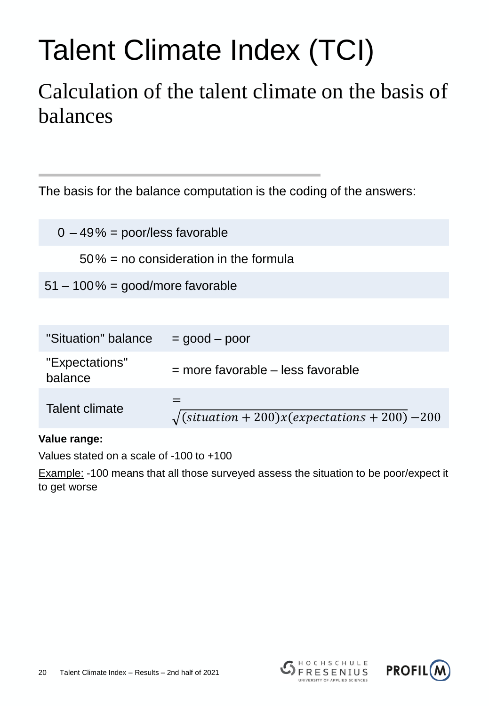### Calculation of the talent climate on the basis of balances

The basis for the balance computation is the coding of the answers:

 $0 - 49\% =$  poor/less favorable

50% = no consideration in the formula

51 – 100% = good/more favorable

| "Situation" balance       | $=$ good $-$ poor                                                                          |
|---------------------------|--------------------------------------------------------------------------------------------|
| "Expectations"<br>balance | $=$ more favorable $-$ less favorable                                                      |
| Talent climate            | $\sqrt{\left(\text{situation} + 200\right) x\left(\text{expectations} + 200\right) - 200}$ |

**Value range:**

Values stated on a scale of -100 to +100

Example: -100 means that all those surveyed assess the situation to be poor/expect it to get worse



HOCHSCHULE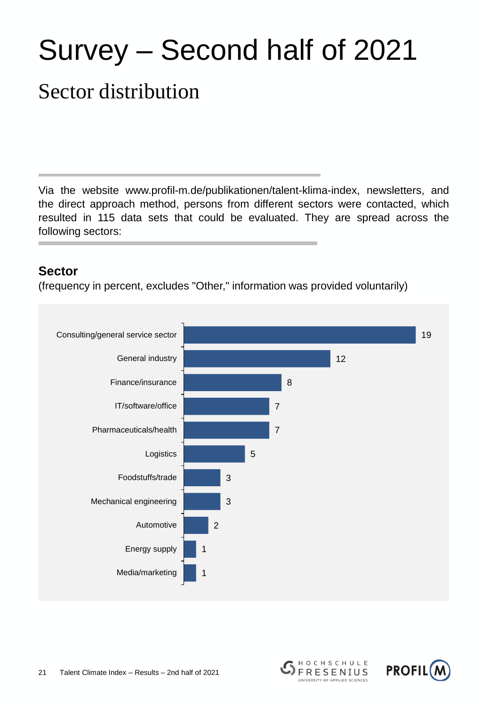## Survey – Second half of 2021

### Sector distribution

Via the website www.profil-m.de/publikationen/talent-klima-index, newsletters, and the direct approach method, persons from different sectors were contacted, which resulted in 115 data sets that could be evaluated. They are spread across the following sectors:

#### **Sector**

(frequency in percent, excludes "Other," information was provided voluntarily)





HOCHSCHULE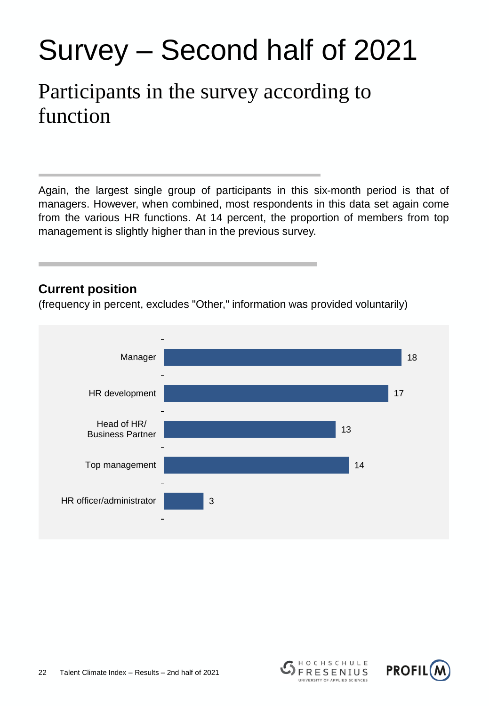## Survey – Second half of 2021

### Participants in the survey according to function

Again, the largest single group of participants in this six-month period is that of managers. However, when combined, most respondents in this data set again come from the various HR functions. At 14 percent, the proportion of members from top management is slightly higher than in the previous survey.

#### **Current position**

(frequency in percent, excludes "Other," information was provided voluntarily)





HOCHSCHULE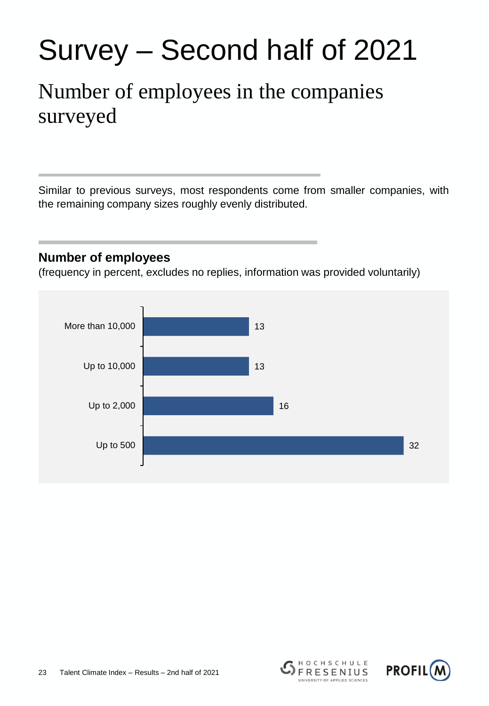## Survey – Second half of 2021

### Number of employees in the companies surveyed

Similar to previous surveys, most respondents come from smaller companies, with the remaining company sizes roughly evenly distributed.

#### **Number of employees**

(frequency in percent, excludes no replies, information was provided voluntarily)





HOCHSCHULE